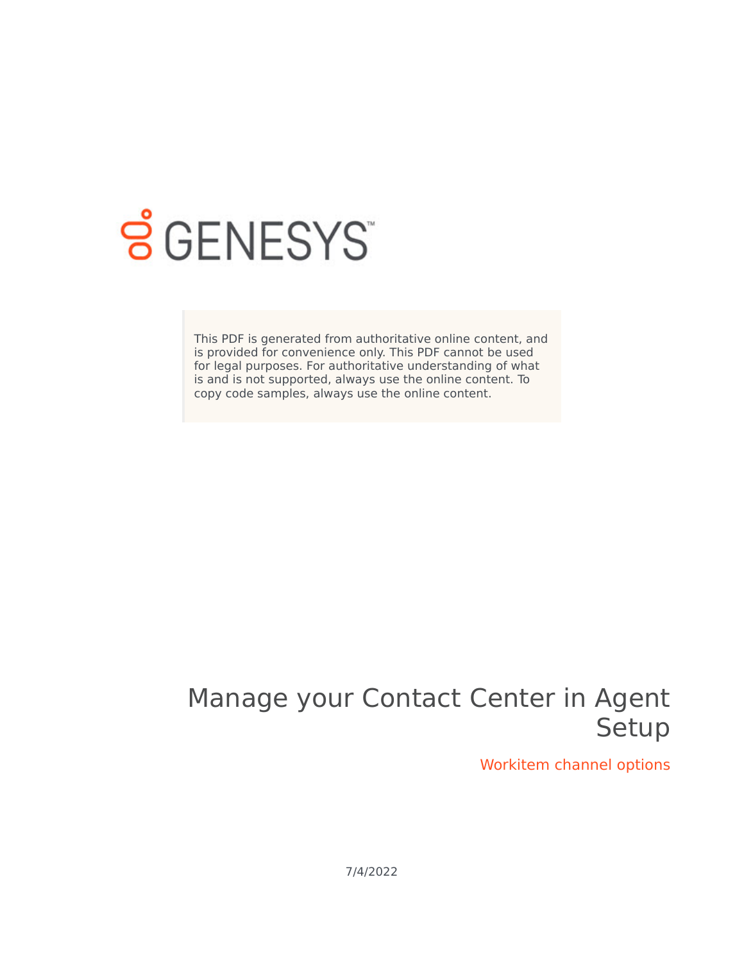

## **SGENESYS**

This PDF is generated from authoritative online content, and is provided for convenience only. This PDF cannot be used for legal purposes. For authoritative understanding of what is and is not supported, always use the online content. To copy code samples, always use the online content.

## Manage your Contact Center in Agent Setup

Workitem channel options

7/4/2022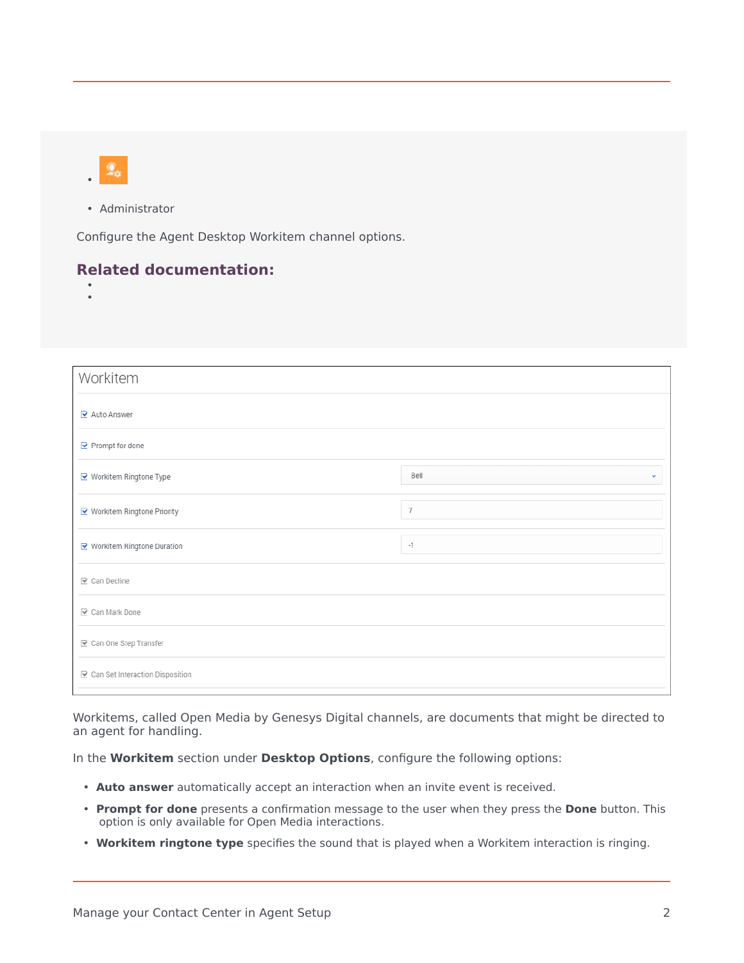• Administrator

Configure the Agent Desktop Workitem channel options.

## **Related documentation:**

• •

| Workitem                          |                      |
|-----------------------------------|----------------------|
| Auto Answer                       |                      |
| $\triangleright$ Prompt for done  |                      |
| ■ Workitem Ringtone Type          | Bell<br>$\checkmark$ |
| ■ Workitem Ringtone Priority      | $\overline{7}$       |
| ■ Workitem Ringtone Duration      | $-1$                 |
| <b>▽</b> Can Decline              |                      |
| ☑ Can Mark Done                   |                      |
| ☑ Can One Step Transfer           |                      |
| ☑ Can Set Interaction Disposition |                      |

Workitems, called Open Media by Genesys Digital channels, are documents that might be directed to an agent for handling.

In the **Workitem** section under **Desktop Options**, configure the following options:

- **Auto answer** automatically accept an interaction when an invite event is received.
- **Prompt for done** presents a confirmation message to the user when they press the **Done** button. This option is only available for Open Media interactions.
- **Workitem ringtone type** specifies the sound that is played when a Workitem interaction is ringing.